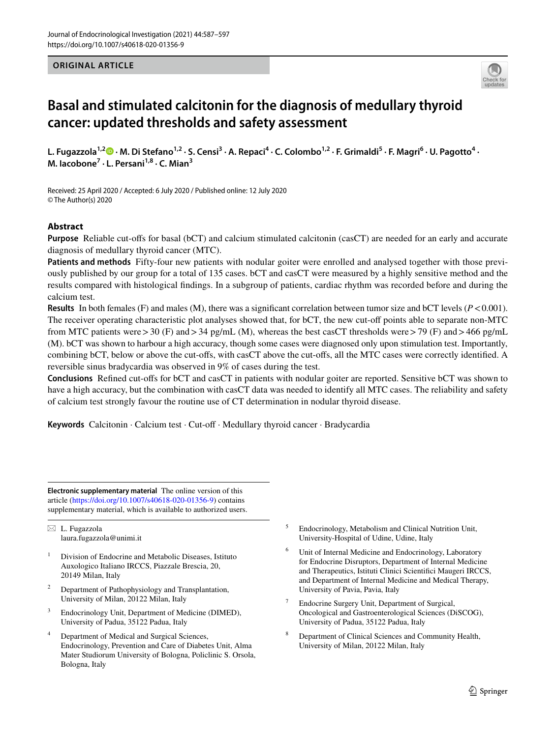## **ORIGINAL ARTICLE**



# **Basal and stimulated calcitonin for the diagnosis of medullary thyroid cancer: updated thresholds and safety assessment**

L. Fugazzola<sup>1,2</sup> D [·](http://orcid.org/0000-0001-5372-0982) M. Di Stefano<sup>1,2</sup> · S. Censi<sup>3</sup> · A. Repaci<sup>4</sup> · C. Colombo<sup>1,2</sup> · F. Grimaldi<sup>5</sup> · F. Magri<sup>6</sup> · U. Pagotto<sup>4</sup> · **M. Iacobone7 · L. Persani1,8 · C. Mian3**

Received: 25 April 2020 / Accepted: 6 July 2020 / Published online: 12 July 2020 © The Author(s) 2020

## **Abstract**

**Purpose** Reliable cut-ofs for basal (bCT) and calcium stimulated calcitonin (casCT) are needed for an early and accurate diagnosis of medullary thyroid cancer (MTC).

**Patients and methods** Fifty-four new patients with nodular goiter were enrolled and analysed together with those previously published by our group for a total of 135 cases. bCT and casCT were measured by a highly sensitive method and the results compared with histological fndings. In a subgroup of patients, cardiac rhythm was recorded before and during the calcium test.

**Results** In both females (F) and males (M), there was a significant correlation between tumor size and bCT levels ( $P < 0.001$ ). The receiver operating characteristic plot analyses showed that, for bCT, the new cut-off points able to separate non-MTC from MTC patients were > 30 (F) and > 34 pg/mL (M), whereas the best casCT thresholds were > 79 (F) and > 466 pg/mL (M). bCT was shown to harbour a high accuracy, though some cases were diagnosed only upon stimulation test. Importantly, combining bCT, below or above the cut-ofs, with casCT above the cut-ofs, all the MTC cases were correctly identifed. A reversible sinus bradycardia was observed in 9% of cases during the test.

**Conclusions** Refned cut-ofs for bCT and casCT in patients with nodular goiter are reported. Sensitive bCT was shown to have a high accuracy, but the combination with casCT data was needed to identify all MTC cases. The reliability and safety of calcium test strongly favour the routine use of CT determination in nodular thyroid disease.

Keywords Calcitonin · Calcium test · Cut-off · Medullary thyroid cancer · Bradycardia

**Electronic supplementary material** The online version of this article [\(https://doi.org/10.1007/s40618-020-01356-9\)](https://doi.org/10.1007/s40618-020-01356-9) contains supplementary material, which is available to authorized users.

 $\boxtimes$  L. Fugazzola laura.fugazzola@unimi.it

- <sup>1</sup> Division of Endocrine and Metabolic Diseases, Istituto Auxologico Italiano IRCCS, Piazzale Brescia, 20, 20149 Milan, Italy
- <sup>2</sup> Department of Pathophysiology and Transplantation, University of Milan, 20122 Milan, Italy
- <sup>3</sup> Endocrinology Unit, Department of Medicine (DIMED), University of Padua, 35122 Padua, Italy
- <sup>4</sup> Department of Medical and Surgical Sciences, Endocrinology, Prevention and Care of Diabetes Unit, Alma Mater Studiorum University of Bologna, Policlinic S. Orsola, Bologna, Italy
- <sup>5</sup> Endocrinology, Metabolism and Clinical Nutrition Unit, University-Hospital of Udine, Udine, Italy
- <sup>6</sup> Unit of Internal Medicine and Endocrinology, Laboratory for Endocrine Disruptors, Department of Internal Medicine and Therapeutics, Istituti Clinici Scientifci Maugeri IRCCS, and Department of Internal Medicine and Medical Therapy, University of Pavia, Pavia, Italy
- Endocrine Surgery Unit, Department of Surgical, Oncological and Gastroenterological Sciences (DiSCOG), University of Padua, 35122 Padua, Italy
- Department of Clinical Sciences and Community Health, University of Milan, 20122 Milan, Italy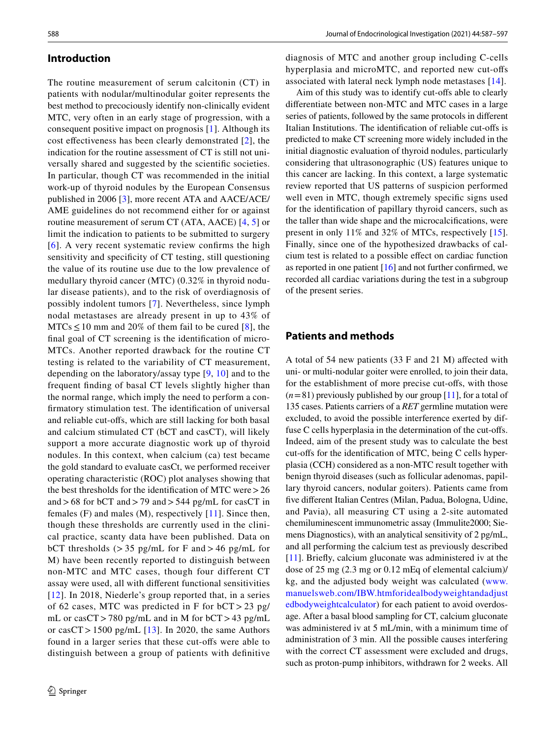## **Introduction**

The routine measurement of serum calcitonin (CT) in patients with nodular/multinodular goiter represents the best method to precociously identify non-clinically evident MTC, very often in an early stage of progression, with a consequent positive impact on prognosis [[1](#page-9-0)]. Although its cost effectiveness has been clearly demonstrated [[2](#page-9-1)], the indication for the routine assessment of CT is still not universally shared and suggested by the scientifc societies. In particular, though CT was recommended in the initial work-up of thyroid nodules by the European Consensus published in 2006 [[3\]](#page-9-2), more recent ATA and AACE/ACE/ AME guidelines do not recommend either for or against routine measurement of serum CT (ATA, AACE) [\[4,](#page-9-3) [5\]](#page-9-4) or limit the indication to patients to be submitted to surgery [[6\]](#page-9-5). A very recent systematic review confrms the high sensitivity and specifcity of CT testing, still questioning the value of its routine use due to the low prevalence of medullary thyroid cancer (MTC) (0.32% in thyroid nodular disease patients), and to the risk of overdiagnosis of possibly indolent tumors [[7](#page-9-6)]. Nevertheless, since lymph nodal metastases are already present in up to 43% of MTCs  $\leq$  10 mm and 20% of them fail to be cured [\[8](#page-9-7)], the fnal goal of CT screening is the identifcation of micro-MTCs. Another reported drawback for the routine CT testing is related to the variability of CT measurement, depending on the laboratory/assay type [[9](#page-9-8), [10\]](#page-9-9) and to the frequent fnding of basal CT levels slightly higher than the normal range, which imply the need to perform a confrmatory stimulation test. The identifcation of universal and reliable cut-ofs, which are still lacking for both basal and calcium stimulated CT (bCT and casCT), will likely support a more accurate diagnostic work up of thyroid nodules. In this context, when calcium (ca) test became the gold standard to evaluate casCt, we performed receiver operating characteristic (ROC) plot analyses showing that the best thresholds for the identification of MTC were  $>26$ and  $>68$  for bCT and  $>79$  and  $>544$  pg/mL for casCT in females  $(F)$  and males  $(M)$ , respectively  $[11]$  $[11]$ . Since then, though these thresholds are currently used in the clinical practice, scanty data have been published. Data on bCT thresholds  $(> 35 \text{ pg/mL}$  for F and  $> 46 \text{ pg/mL}$  for M) have been recently reported to distinguish between non-MTC and MTC cases, though four different CT assay were used, all with diferent functional sensitivities [[12](#page-10-0)]. In 2018, Niederle's group reported that, in a series of 62 cases, MTC was predicted in F for  $bCT > 23$  pg/ mL or  $casCT > 780$  pg/mL and in M for  $bcT > 43$  pg/mL or  $\text{cas}CT > 1500 \text{ pg/mL}$  [\[13\]](#page-10-1). In 2020, the same Authors found in a larger series that these cut-ofs were able to distinguish between a group of patients with defnitive diagnosis of MTC and another group including C-cells hyperplasia and microMTC, and reported new cut-offs associated with lateral neck lymph node metastases [[14\]](#page-10-2).

Aim of this study was to identify cut-ofs able to clearly diferentiate between non-MTC and MTC cases in a large series of patients, followed by the same protocols in diferent Italian Institutions. The identifcation of reliable cut-ofs is predicted to make CT screening more widely included in the initial diagnostic evaluation of thyroid nodules, particularly considering that ultrasonographic (US) features unique to this cancer are lacking. In this context, a large systematic review reported that US patterns of suspicion performed well even in MTC, though extremely specifc signs used for the identifcation of papillary thyroid cancers, such as the taller than wide shape and the microcalcifcations, were present in only 11% and 32% of MTCs, respectively [\[15](#page-10-3)]. Finally, since one of the hypothesized drawbacks of calcium test is related to a possible efect on cardiac function as reported in one patient  $[16]$  $[16]$  and not further confirmed, we recorded all cardiac variations during the test in a subgroup of the present series.

## **Patients and methods**

A total of 54 new patients (33 F and 21 M) afected with uni- or multi-nodular goiter were enrolled, to join their data, for the establishment of more precise cut-ofs, with those  $(n=81)$  previously published by our group  $[11]$  $[11]$  $[11]$ , for a total of 135 cases. Patients carriers of a *RET* germline mutation were excluded, to avoid the possible interference exerted by diffuse C cells hyperplasia in the determination of the cut-ofs. Indeed, aim of the present study was to calculate the best cut-ofs for the identifcation of MTC, being C cells hyperplasia (CCH) considered as a non-MTC result together with benign thyroid diseases (such as follicular adenomas, papillary thyroid cancers, nodular goiters). Patients came from fve diferent Italian Centres (Milan, Padua, Bologna, Udine, and Pavia), all measuring CT using a 2-site automated chemiluminescent immunometric assay (Immulite2000; Siemens Diagnostics), with an analytical sensitivity of 2 pg/mL, and all performing the calcium test as previously described [[11\]](#page-9-10). Briefy, calcium gluconate was administered iv at the dose of 25 mg (2.3 mg or 0.12 mEq of elemental calcium)/ kg, and the adjusted body weight was calculated [\(www.](http://www.manuelsweb.com/IBW.htmforidealbodyweightandadjustedbodyweightcalculator) [manuelsweb.com/IBW.htmforidealbodyweightandadjust](http://www.manuelsweb.com/IBW.htmforidealbodyweightandadjustedbodyweightcalculator) [edbodyweightcalculator](http://www.manuelsweb.com/IBW.htmforidealbodyweightandadjustedbodyweightcalculator)) for each patient to avoid overdosage. After a basal blood sampling for CT, calcium gluconate was administered iv at 5 mL/min, with a minimum time of administration of 3 min. All the possible causes interfering with the correct CT assessment were excluded and drugs, such as proton-pump inhibitors, withdrawn for 2 weeks. All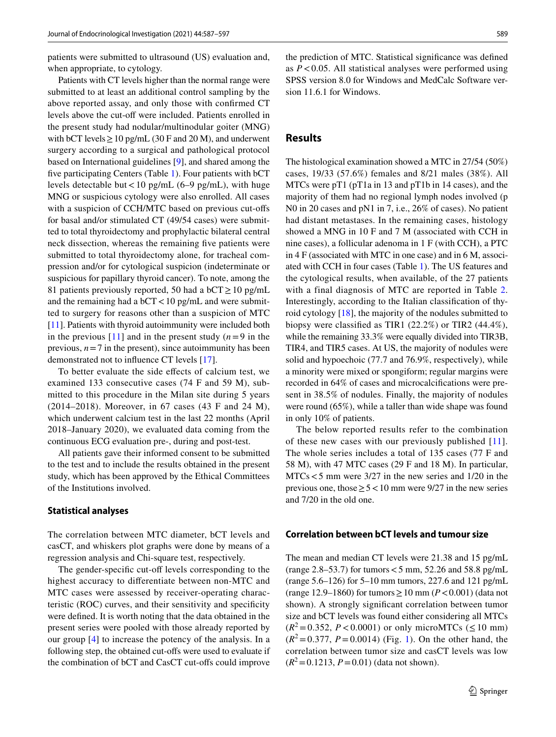patients were submitted to ultrasound (US) evaluation and, when appropriate, to cytology.

Patients with CT levels higher than the normal range were submitted to at least an additional control sampling by the above reported assay, and only those with confrmed CT levels above the cut-off were included. Patients enrolled in the present study had nodular/multinodular goiter (MNG) with bCT levels  $\geq 10$  pg/mL (30 F and 20 M), and underwent surgery according to a surgical and pathological protocol based on International guidelines [[9\]](#page-9-8), and shared among the fve participating Centers (Table [1\)](#page-3-0). Four patients with bCT levels detectable but < 10 pg/mL (6–9 pg/mL), with huge MNG or suspicious cytology were also enrolled. All cases with a suspicion of CCH/MTC based on previous cut-ofs for basal and/or stimulated CT (49/54 cases) were submitted to total thyroidectomy and prophylactic bilateral central neck dissection, whereas the remaining fve patients were submitted to total thyroidectomy alone, for tracheal compression and/or for cytological suspicion (indeterminate or suspicious for papillary thyroid cancer). To note, among the 81 patients previously reported, 50 had a bCT≥10 pg/mL and the remaining had a  $bCT < 10$  pg/mL and were submitted to surgery for reasons other than a suspicion of MTC [\[11](#page-9-10)]. Patients with thyroid autoimmunity were included both in the previous  $[11]$  $[11]$  and in the present study  $(n=9)$  in the previous,  $n=7$  in the present), since autoimmunity has been demonstrated not to infuence CT levels [\[17](#page-10-5)].

To better evaluate the side efects of calcium test, we examined 133 consecutive cases (74 F and 59 M), submitted to this procedure in the Milan site during 5 years (2014–2018). Moreover, in 67 cases (43 F and 24 M), which underwent calcium test in the last 22 months (April 2018–January 2020), we evaluated data coming from the continuous ECG evaluation pre-, during and post-test.

All patients gave their informed consent to be submitted to the test and to include the results obtained in the present study, which has been approved by the Ethical Committees of the Institutions involved.

#### **Statistical analyses**

The correlation between MTC diameter, bCT levels and casCT, and whiskers plot graphs were done by means of a regression analysis and Chi-square test, respectively.

The gender-specific cut-off levels corresponding to the highest accuracy to diferentiate between non-MTC and MTC cases were assessed by receiver-operating characteristic (ROC) curves, and their sensitivity and specifcity were defned. It is worth noting that the data obtained in the present series were pooled with those already reported by our group [[4](#page-9-3)] to increase the potency of the analysis. In a following step, the obtained cut-ofs were used to evaluate if the combination of bCT and CasCT cut-ofs could improve the prediction of MTC. Statistical signifcance was defned as *P*<0.05. All statistical analyses were performed using SPSS version 8.0 for Windows and MedCalc Software version 11.6.1 for Windows.

#### **Results**

The histological examination showed a MTC in 27/54 (50%) cases, 19/33 (57.6%) females and 8/21 males (38%). All MTCs were pT1 (pT1a in 13 and pT1b in 14 cases), and the majority of them had no regional lymph nodes involved (p N0 in 20 cases and pN1 in 7, i.e., 26% of cases). No patient had distant metastases. In the remaining cases, histology showed a MNG in 10 F and 7 M (associated with CCH in nine cases), a follicular adenoma in 1 F (with CCH), a PTC in 4 F (associated with MTC in one case) and in 6 M, associated with CCH in four cases (Table [1](#page-3-0)). The US features and the cytological results, when available, of the 27 patients with a final diagnosis of MTC are reported in Table [2.](#page-5-0) Interestingly, according to the Italian classifcation of thyroid cytology [[18\]](#page-10-6), the majority of the nodules submitted to biopsy were classifed as TIR1 (22.2%) or TIR2 (44.4%), while the remaining 33.3% were equally divided into TIR3B, TIR4, and TIR5 cases. At US, the majority of nodules were solid and hypoechoic (77.7 and 76.9%, respectively), while a minority were mixed or spongiform; regular margins were recorded in 64% of cases and microcalcifcations were present in 38.5% of nodules. Finally, the majority of nodules were round (65%), while a taller than wide shape was found in only 10% of patients.

The below reported results refer to the combination of these new cases with our previously published [[11](#page-9-10)]. The whole series includes a total of 135 cases (77 F and 58 M), with 47 MTC cases (29 F and 18 M). In particular,  $MTCs < 5$  mm were 3/27 in the new series and 1/20 in the previous one, those  $\geq 5$  < 10 mm were 9/27 in the new series and 7/20 in the old one.

## **Correlation between bCT levels and tumour size**

The mean and median CT levels were 21.38 and 15 pg/mL (range 2.8–53.7) for tumors<5 mm, 52.26 and 58.8 pg/mL (range 5.6–126) for 5–10 mm tumors, 227.6 and 121 pg/mL (range 12.9–1860) for tumors≥10 mm (*P*<0.001) (data not shown). A strongly signifcant correlation between tumor size and bCT levels was found either considering all MTCs  $(R^2 = 0.352, P < 0.0001)$  or only microMTCs ( $\leq 10$  mm)  $(R^2 = 0.377, P = 0.0014)$  $(R^2 = 0.377, P = 0.0014)$  $(R^2 = 0.377, P = 0.0014)$  (Fig. 1). On the other hand, the correlation between tumor size and casCT levels was low  $(R^2=0.1213, P=0.01)$  (data not shown).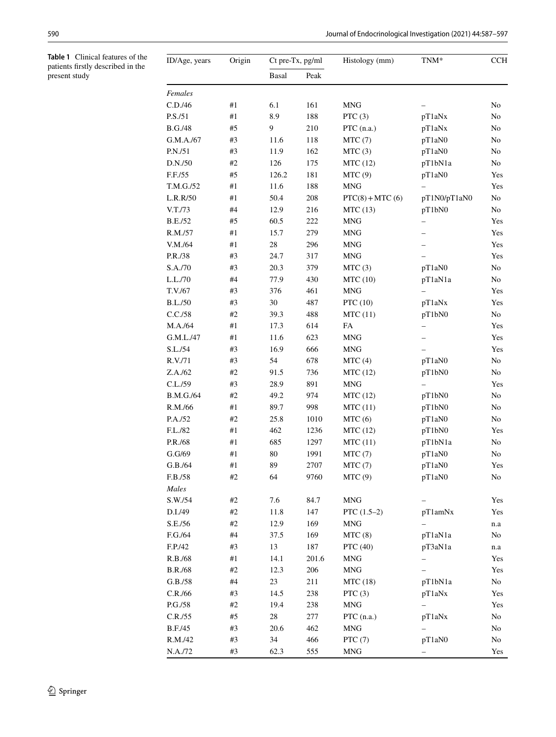<span id="page-3-0"></span>**Table 1** Clinical features of the patients frstly described in the present study

| ID/Age, years    | Origin   |            | Ct pre-Tx, pg/ml | Histology (mm)              | $\text{TNM}^*$ | <b>CCH</b>            |
|------------------|----------|------------|------------------|-----------------------------|----------------|-----------------------|
|                  |          | Basal      | Peak             |                             |                |                       |
| Females          |          |            |                  |                             |                |                       |
| C.D./46          | #1       | 6.1        | 161              | <b>MNG</b>                  |                | No                    |
| P.S./51          | #1       | 8.9        | 188              | PTC $(3)$                   | pT1aNx         | No                    |
| <b>B.G./48</b>   | #5       | 9          | 210              | PTC (n.a.)                  | pT1aNx         | No                    |
| G.M.A./67        | #3       | 11.6       | 118              | MTC(7)                      | pT1aN0         | No                    |
| P.N./51          | #3       | 11.9       | 162              | MTC(3)                      | pT1aN0         | No                    |
| D.N. / 50        | #2       | 126        | 175              | MTC(12)                     | pT1bN1a        | No                    |
| F.F./55          | #5       | 126.2      | 181              | MTC(9)                      | pT1aN0         | Yes                   |
| T.M.G./52        | #1       | 11.6       | 188              | <b>MNG</b>                  |                | Yes                   |
| L.R.R/50         | #1       | 50.4       | 208              | $PTC(8) + MTC(6)$           | pT1N0/pT1aN0   | No                    |
| V.T./73          | #4       | 12.9       | 216              | MTC(13)                     | pT1bN0         | No                    |
| <b>B.E./52</b>   | #5       | 60.5       | 222              | <b>MNG</b>                  |                | Yes                   |
| R.M./57          | #1       | 15.7       | 279              | <b>MNG</b>                  | -              | Yes                   |
| V.M./64          | #1       | 28         | 296              | <b>MNG</b>                  |                | Yes                   |
| P.R./38          | #3       | 24.7       | 317              | <b>MNG</b>                  |                | Yes                   |
| S.A./70          | #3       | 20.3       | 379              | MTC(3)                      | pT1aN0         | No                    |
| L.L.70           | #4       | 77.9       | 430              | MTC(10)                     | pT1aN1a        | No                    |
| T.V./67          | #3       | 376        | 461              | <b>MNG</b>                  |                | Yes                   |
| <b>B.L./50</b>   | #3       | 30         | 487              | PTC $(10)$                  | pT1aNx         | Yes                   |
| C.C./58          | #2       | 39.3       | 488              | MTC(11)                     | pT1bN0         | No                    |
| M.A./64          | #1       | 17.3       | 614              | FA                          |                | Yes                   |
| G.M.L./47        | #1       | 11.6       | 623              | $\ensuremath{\mathsf{MNG}}$ |                | Yes                   |
| S.L./54          | #3       | 16.9       | 666              | <b>MNG</b>                  |                | Yes                   |
| R.V./71          | #3       | 54         | 678              | MTC(4)                      | pT1aN0         | No                    |
| Z.A./62          | #2       | 91.5       | 736              | MTC(12)                     | pT1bN0         | No                    |
| C.L.759          | #3       | 28.9       | 891              | <b>MNG</b>                  |                | Yes                   |
| B.M.G./64        | #2       | 49.2       | 974              | MTC(12)                     | pT1bN0         | No                    |
| R.M./66          | #1       | 89.7       | 998              | MTC(11)                     | pT1bN0         | No                    |
| P.A./52          | #2       | 25.8       | 1010             | MTC(6)                      | pT1aN0         | No                    |
| F.L./82          | #1       | 462        | 1236             | MTC(12)                     | pT1bN0         | Yes                   |
| P.R./68          | #1       | 685        | 1297             | MTC(11)                     | pT1bN1a        | No                    |
| G.G/69           | #1       | 80         | 1991             | MTC(7)                      | pT1aN0         | No                    |
| G.B./64          | $\#1$    | 89         | 2707             | MTC(7)                      | pT1aN0         | Yes                   |
|                  |          | 64         |                  |                             | pT1aN0         |                       |
| F.B./58<br>Males | #2       |            | 9760             | MTC(9)                      |                | No                    |
| S.W./54          | #2       | 7.6        | 84.7             | MNG                         |                | Yes                   |
|                  |          |            |                  |                             |                |                       |
| D.I./49          | #2<br>#2 | 11.8       | 147<br>169       | PTC $(1.5-2)$               | pT1amNx        | Yes                   |
| S.E./56          | #4       | 12.9       | 169              | <b>MNG</b>                  | pT1aN1a        | n.a<br>N <sub>0</sub> |
| F.G./64          | #3       | 37.5<br>13 |                  | MTC(8)                      | pT3aN1a        |                       |
| F.P./42          |          |            | 187              | PTC (40)                    |                | n.a                   |
| R.B./68          | #1       | 14.1       | 201.6            | <b>MNG</b>                  |                | Yes                   |
| <b>B.R./68</b>   | #2       | 12.3       | 206              | <b>MNG</b>                  |                | Yes                   |
| G.B./58          | #4       | 23         | 211              | MTC(18)                     | pT1bN1a        | No                    |
| C.R./66          | #3       | 14.5       | 238              | PTC $(3)$                   | pT1aNx         | Yes                   |
| P.G./58          | #2       | 19.4       | 238              | <b>MNG</b>                  |                | Yes                   |
| C.R./55          | #5       | $28\,$     | 277              | PTC (n.a.)                  | pT1aNx         | No                    |
| <b>B.F./45</b>   | #3       | 20.6       | 462              | $\ensuremath{\mathsf{MNG}}$ |                | No                    |
| R.M./42          | #3       | 34         | 466              | PTC $(7)$                   | pT1aN0         | No                    |
| N.A./72          | #3       | 62.3       | 555              | <b>MNG</b>                  |                | Yes                   |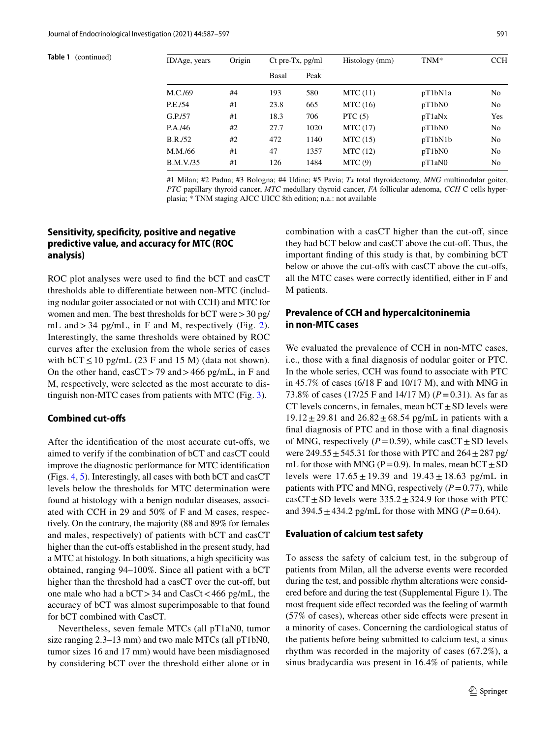| Table 1<br>(continued) | ID/Age, years    | Origin | Ct pre- $Tx$ , pg/ml |      | Histology (mm) | TNM*    | <b>CCH</b> |
|------------------------|------------------|--------|----------------------|------|----------------|---------|------------|
|                        |                  |        | Basal                | Peak |                |         |            |
|                        | M.C./69          | #4     | 193                  | 580  | MTC(11)        | pT1bN1a | No         |
|                        | P.E./54          | #1     | 23.8                 | 665  | MTC(16)        | pT1bN0  | No         |
|                        | G.P./57          | #1     | 18.3                 | 706  | PTC $(5)$      | pT1aNx  | Yes        |
|                        | P.A./46          | #2     | 27.7                 | 1020 | MTC(17)        | pT1bN0  | No         |
|                        | <b>B.R./52</b>   | #2     | 472                  | 1140 | MTC(15)        | pT1bN1b | No         |
|                        | M.M./66          | #1     | 47                   | 1357 | MTC(12)        | pT1bN0  | No         |
|                        | <b>B.M.V./35</b> | #1     | 126                  | 1484 | MTC(9)         | pT1aN0  | No         |

#1 Milan; #2 Padua; #3 Bologna; #4 Udine; #5 Pavia; *Tx* total thyroidectomy, *MNG* multinodular goiter, *PTC* papillary thyroid cancer, *MTC* medullary thyroid cancer, *FA* follicular adenoma, *CCH* C cells hyperplasia; \* TNM staging AJCC UICC 8th edition; n.a.: not available

## **Sensitivity, specifcity, positive and negative predictive value, and accuracy for MTC (ROC analysis)**

ROC plot analyses were used to fnd the bCT and casCT thresholds able to diferentiate between non-MTC (including nodular goiter associated or not with CCH) and MTC for women and men. The best thresholds for bCT were > 30 pg/ mL and  $> 34$  pg/mL, in F and M, respectively (Fig. [2](#page-6-1)). Interestingly, the same thresholds were obtained by ROC curves after the exclusion from the whole series of cases with bCT $\leq$ 10 pg/mL (23 F and 15 M) (data not shown). On the other hand,  $casCT > 79$  and  $> 466$  pg/mL, in F and M, respectively, were selected as the most accurate to distinguish non-MTC cases from patients with MTC (Fig. [3](#page-7-0)).

## **Combined cut‑ofs**

After the identifcation of the most accurate cut-ofs, we aimed to verify if the combination of bCT and casCT could improve the diagnostic performance for MTC identifcation (Figs. [4,](#page-7-1) [5\)](#page-8-0). Interestingly, all cases with both bCT and casCT levels below the thresholds for MTC determination were found at histology with a benign nodular diseases, associated with CCH in 29 and 50% of F and M cases, respectively. On the contrary, the majority (88 and 89% for females and males, respectively) of patients with bCT and casCT higher than the cut-ofs established in the present study, had a MTC at histology. In both situations, a high specifcity was obtained, ranging 94–100%. Since all patient with a bCT higher than the threshold had a casCT over the cut-off, but one male who had a bCT>34 and CasCt<466 pg/mL, the accuracy of bCT was almost superimposable to that found for bCT combined with CasCT.

Nevertheless, seven female MTCs (all pT1aN0, tumor size ranging 2.3–13 mm) and two male MTCs (all pT1bN0, tumor sizes 16 and 17 mm) would have been misdiagnosed by considering bCT over the threshold either alone or in combination with a casCT higher than the cut-off, since they had bCT below and casCT above the cut-off. Thus, the important fnding of this study is that, by combining bCT below or above the cut-ofs with casCT above the cut-ofs, all the MTC cases were correctly identifed, either in F and M patients.

## **Prevalence of CCH and hypercalcitoninemia in non‑MTC cases**

We evaluated the prevalence of CCH in non-MTC cases, i.e., those with a fnal diagnosis of nodular goiter or PTC. In the whole series, CCH was found to associate with PTC in 45.7% of cases (6/18 F and 10/17 M), and with MNG in 73.8% of cases (17/25 F and 14/17 M) (*P*=0.31). As far as CT levels concerns, in females, mean  $bCT \pm SD$  levels were  $19.12 \pm 29.81$  and  $26.82 \pm 68.54$  pg/mL in patients with a fnal diagnosis of PTC and in those with a fnal diagnosis of MNG, respectively  $(P=0.59)$ , while casCT $\pm$ SD levels were  $249.55 \pm 545.31$  for those with PTC and  $264 \pm 287$  pg/ mL for those with MNG ( $P=0.9$ ). In males, mean bCT  $\pm$  SD levels were  $17.65 \pm 19.39$  and  $19.43 \pm 18.63$  pg/mL in patients with PTC and MNG, respectively  $(P=0.77)$ , while  $\text{casCT} \pm \text{SD}$  levels were  $335.2 \pm 324.9$  for those with PTC and  $394.5 \pm 434.2$  pg/mL for those with MNG ( $P = 0.64$ ).

#### **Evaluation of calcium test safety**

To assess the safety of calcium test, in the subgroup of patients from Milan, all the adverse events were recorded during the test, and possible rhythm alterations were considered before and during the test (Supplemental Figure 1). The most frequent side efect recorded was the feeling of warmth (57% of cases), whereas other side efects were present in a minority of cases. Concerning the cardiological status of the patients before being submitted to calcium test, a sinus rhythm was recorded in the majority of cases (67.2%), a sinus bradycardia was present in 16.4% of patients, while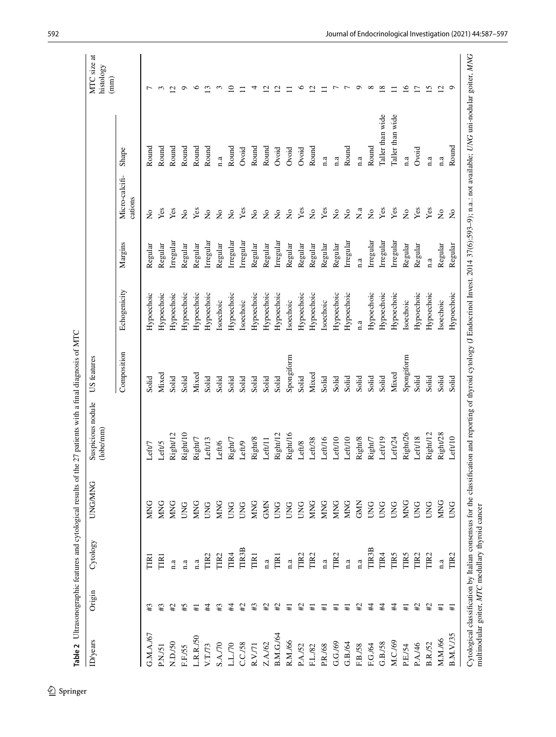<span id="page-5-0"></span>

| $$\mathbb{D}/\mathbb{S}$$ | Origin     | Cytology           | <b>UNG/MNG</b> | Suspicious nodule<br>(lobe/mm) | US features |              |             |                           |                  | MTC size at<br>histology<br>(mm) |
|---------------------------|------------|--------------------|----------------|--------------------------------|-------------|--------------|-------------|---------------------------|------------------|----------------------------------|
|                           |            |                    |                |                                | Composition | Echogenicity | Margins     | Micro-calcifi-<br>cations | Shape            |                                  |
| G.M.A./67                 | #3         | TR1                | <b>MNG</b>     | Left7                          | Solid       | Hypoechoic   | Regular     | $\mathsf{S}^{\mathsf{O}}$ | Round            | ∼                                |
| P.N./51                   | #3         | E                  | <b>ND</b>      | Left/5                         | Mixed       | Hypoechoic   | Regular     | Yes                       | Round            | $\epsilon$                       |
| <b>N.D./50</b>            | #2         | $a$ .              | <b>MNG</b>     | Right/12                       | Solid       | Hypoechoic   | Irregular   | $\mathbf{Yes}$            | Round            | $\mathcal{L}_{\mathcal{L}}$      |
| F.F./55                   | 5#         | $a_a$              | <b>UNG</b>     | Right/10                       | Solid       | Hypoechoic   | Regular     | $\frac{1}{2}$             | Round            | $\sigma$                         |
| L.R.R.J0                  | $\ddot{}$  | a.a                | <b>NING</b>    | Right <sup>7</sup>             | Mixed       | Hypoechoic   | Regular     | Yes                       | Round            | $\circ$                          |
| V.T/J3                    | #          | TIR2               | UNG            | Left/13                        | Solid       | Hypoechoic   | Irregular   | $\frac{1}{2}$             | Round            | $\omega$                         |
| S.A.70                    | #3         | TIR <sub>2</sub>   | <b>NING</b>    | Left/6                         | Solid       | Isoechoic    | Regular     | $\frac{1}{2}$             | $a_a$            | $\epsilon$                       |
| L.L.70                    | 茸          | TIR4               | <b>DNG</b>     | Right <sup>7</sup>             | Solid       | Hypoechoic   | Irregular   | $\overline{\mathsf{z}}$   | Round            | $\supseteq$                      |
| C.C.58                    | #2         | TIR3B              | <b>S</b>       | Left/9                         | Solid       | Isoechoic    | Irregular   | Yes                       | Ovoid            | $\Box$                           |
| R.V.71                    | #3         | TRI                | <b>MNG</b>     | Right/8                        | Solid       | Hypoechoic   | Regular     | $\tilde{\mathbf{z}}$      | Round            | 4                                |
| Z.A./62                   | #2         | a. a               | <b>GMN</b>     | Left/11                        | Solid       | Hypoechoic   | Regular     | $\overline{\mathsf{z}}$   | Round            | $\overline{\mathcal{C}}$         |
| B.M.G./64                 | #2         | $\overline{R}$     | UNG            | Right/12                       | Solid       | Hypoechoic   | Irregular   | $\overline{a}$            | Ovoid            | $\overline{\mathcal{C}}$         |
| R.M./66                   | #1         | $a$ .              | <b>DNC</b>     | Right/16                       | Spongiform  | Isoechoic    | Regular     | $\overline{z}$            | Ovoid            | Ξ                                |
| P.A./52                   | #2         | TIR <sub>2</sub>   | <b>UNG</b>     | <b>Left/8</b>                  | Solid       | Hypoechoic   | Regular     | Yes                       | Ovoid            | ७                                |
| F.L./82                   | $\pm$      | TIR2               | <b>MNG</b>     | Left/38                        | Mixed       | Hypoechoic   | Regular     | $\tilde{z}$               | Round            | $\overline{c}$                   |
| P.R./68                   | $\pm$      | $a \cdot a$        | <b>MNG</b>     | Left/16                        | Solid       | Isoechoic    | Regular     | Yes                       | n.a              | Ξ                                |
| G.G.69                    | $\pm$      | TIR <sub>2</sub>   | <b>MNG</b>     | Left/10                        | Solid       | Hypoechoic   | Regular     | $\tilde{z}$               | $a$ .            |                                  |
| G.B.G4                    | $\ddot{=}$ | a.4                | <b>NING</b>    | Left/10                        | Solid       | Hypoechoic   | tregular    | $\tilde{z}$               | Round            |                                  |
| F.B./58                   | #2         | a. a               | <b>GMN</b>     | Right/8                        | Solid       | a. a         | $a \cdot a$ | $\sum_{a}$                | $a$ .            | $\sigma$                         |
| F.G./64                   | #4         | TIR <sub>3</sub> B | <b>DNG</b>     | Right/7                        | Solid       | Hypoechoic   | Irregular   | $\tilde{z}$               | Round            | $\infty$                         |
| G.B./58                   | #4         | TIR <sub>4</sub>   | <b>DNG</b>     | Left/19                        | Solid       | Hypoechoic   | tregular    | Yes                       | Taller than wide | $\overline{8}$                   |
| M.C./69                   | #4         | TIR5               | <b>DNG</b>     | Left/24                        | Mixed       | Hypoechoic   | Irregular   | Yes                       | Taller than wide | $\Box$                           |
| P.E./54                   | #1         | TIR5               | MNG            | Right/26                       | Spongiform  | Isoechoic    | Regular     | $\frac{1}{2}$             | $a$ .            | $\approx$                        |
| P.A./46                   | #2         | TIR <sub>2</sub>   | <b>DKO</b>     | Left/18                        | Solid       | Hypoechoic   | Regular     | Yes                       | Ovoid            | $\overline{\phantom{0}}$         |
| <b>B.R./52</b>            | #2         | TIR2               | UNG            | Right/12                       | Solid       | Hypoechoic   | $a$ .       | Yes                       | n.a              | $\overline{15}$                  |
| M.M./66                   | #1         | a.a                | <b>MNG</b>     | Right/28                       | Solid       | Isoechoic    | Regular     | $\tilde{z}$               | n.a              | $\overline{c}$                   |
| <b>B.M.V./35</b>          | #1         | TIR <sub>2</sub>   | <b>UNG</b>     | Left/10                        | Solid       | Hypoechoic   | Regular     | $\overline{\mathsf{x}}$   | Round            | $\circ$                          |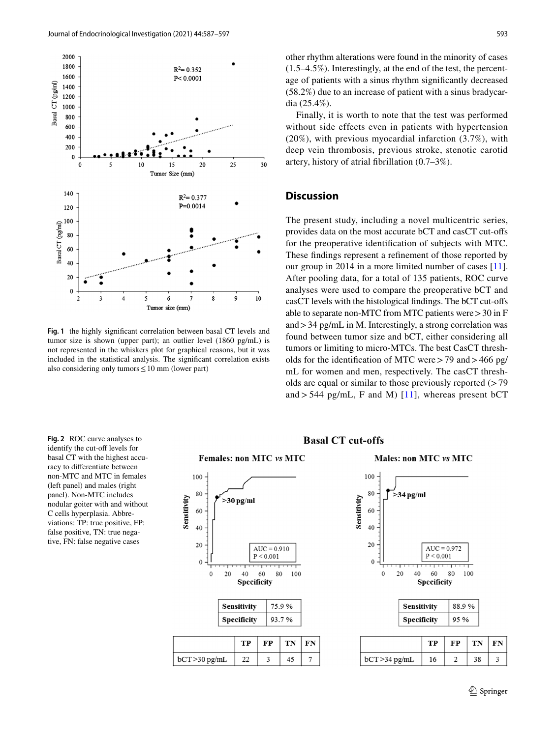

<span id="page-6-0"></span>**Fig. 1** the highly signifcant correlation between basal CT levels and tumor size is shown (upper part); an outlier level (1860 pg/mL) is not represented in the whiskers plot for graphical reasons, but it was included in the statistical analysis. The signifcant correlation exists also considering only tumors≤10 mm (lower part)

other rhythm alterations were found in the minority of cases (1.5–4.5%). Interestingly, at the end of the test, the percentage of patients with a sinus rhythm signifcantly decreased (58.2%) due to an increase of patient with a sinus bradycardia (25.4%).

Finally, it is worth to note that the test was performed without side effects even in patients with hypertension (20%), with previous myocardial infarction (3.7%), with deep vein thrombosis, previous stroke, stenotic carotid artery, history of atrial fbrillation (0.7–3%).

## **Discussion**

The present study, including a novel multicentric series, provides data on the most accurate bCT and casCT cut-ofs for the preoperative identifcation of subjects with MTC. These fndings represent a refnement of those reported by our group in 2014 in a more limited number of cases [\[11](#page-9-10)]. After pooling data, for a total of 135 patients, ROC curve analyses were used to compare the preoperative bCT and casCT levels with the histological fndings. The bCT cut-ofs able to separate non-MTC from MTC patients were>30 in F and>34 pg/mL in M. Interestingly, a strong correlation was found between tumor size and bCT, either considering all tumors or limiting to micro-MTCs. The best CasCT thresholds for the identifcation of MTC were>79 and>466 pg/ mL for women and men, respectively. The casCT thresholds are equal or similar to those previously reported  $(>79$ and  $>$  544 pg/mL, F and M) [[11\]](#page-9-10), whereas present bCT

<span id="page-6-1"></span>**Fig. 2** ROC curve analyses to identify the cut-off levels for basal CT with the highest accuracy to diferentiate between non-MTC and MTC in females (left panel) and males (right panel). Non-MTC includes nodular goiter with and without C cells hyperplasia. Abbreviations: TP: true positive, FP: false positive, TN: true negative, FN: false negative cases

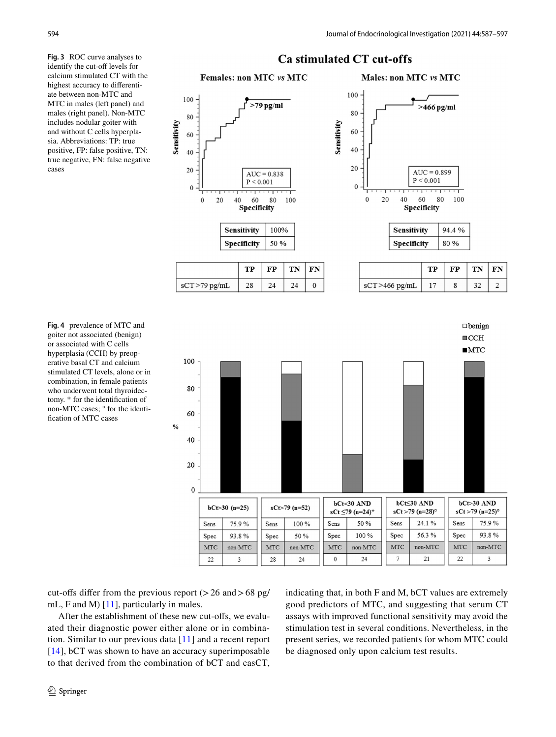<span id="page-7-0"></span>**Fig. 3** ROC curve analyses to identify the cut-off levels for calcium stimulated CT with the highest accuracy to diferentiate between non-MTC and MTC in males (left panel) and males (right panel). Non-MTC includes nodular goiter with and without C cells hyperplasia. Abbreviations: TP: true positive, FP: false positive, TN: true negative, FN: false negative cases



<span id="page-7-1"></span>**Fig. 4** prevalence of MTC and goiter not associated (benign) or associated with C cells hyperplasia (CCH) by preoperative basal CT and calcium stimulated CT levels, alone or in combination, in female patients who underwent total thyroidectomy. \* for the identifcation of non-MTC cases; ° for the identification of MTC cases

cut-offs differ from the previous report  $(>26 \text{ and } >68 \text{ pg})$ mL, F and M) [\[11](#page-9-10)], particularly in males.

After the establishment of these new cut-ofs, we evaluated their diagnostic power either alone or in combination. Similar to our previous data [[11](#page-9-10)] and a recent report [[14\]](#page-10-2), bCT was shown to have an accuracy superimposable to that derived from the combination of bCT and casCT, indicating that, in both F and M, bCT values are extremely good predictors of MTC, and suggesting that serum CT assays with improved functional sensitivity may avoid the stimulation test in several conditions. Nevertheless, in the present series, we recorded patients for whom MTC could be diagnosed only upon calcium test results.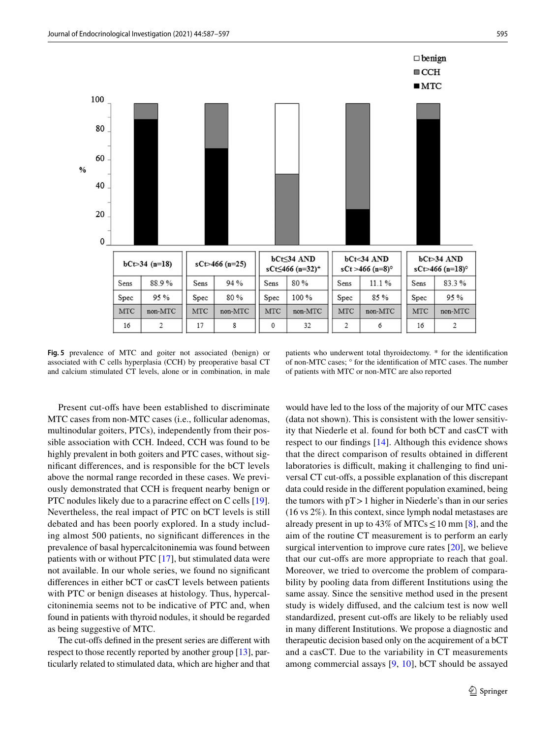

<span id="page-8-0"></span>**Fig. 5** prevalence of MTC and goiter not associated (benign) or associated with C cells hyperplasia (CCH) by preoperative basal CT and calcium stimulated CT levels, alone or in combination, in male

patients who underwent total thyroidectomy. \* for the identifcation of non-MTC cases; ° for the identifcation of MTC cases. The number of patients with MTC or non-MTC are also reported

Present cut-ofs have been established to discriminate MTC cases from non-MTC cases (i.e., follicular adenomas, multinodular goiters, PTCs), independently from their possible association with CCH. Indeed, CCH was found to be highly prevalent in both goiters and PTC cases, without signifcant diferences, and is responsible for the bCT levels above the normal range recorded in these cases. We previously demonstrated that CCH is frequent nearby benign or PTC nodules likely due to a paracrine effect on C cells [\[19](#page-10-7)]. Nevertheless, the real impact of PTC on bCT levels is still debated and has been poorly explored. In a study including almost 500 patients, no signifcant diferences in the prevalence of basal hypercalcitoninemia was found between patients with or without PTC [[17](#page-10-5)], but stimulated data were not available. In our whole series, we found no signifcant diferences in either bCT or casCT levels between patients with PTC or benign diseases at histology. Thus, hypercalcitoninemia seems not to be indicative of PTC and, when found in patients with thyroid nodules, it should be regarded as being suggestive of MTC.

The cut-ofs defned in the present series are diferent with respect to those recently reported by another group [[13\]](#page-10-1), particularly related to stimulated data, which are higher and that would have led to the loss of the majority of our MTC cases (data not shown). This is consistent with the lower sensitivity that Niederle et al. found for both bCT and casCT with respect to our fndings [\[14\]](#page-10-2). Although this evidence shows that the direct comparison of results obtained in diferent laboratories is difficult, making it challenging to find universal CT cut-ofs, a possible explanation of this discrepant data could reside in the diferent population examined, being the tumors with  $pT > 1$  higher in Niederle's than in our series (16 vs 2%). In this context, since lymph nodal metastases are already present in up to 43% of MTCs  $\leq 10$  mm [[8\]](#page-9-7), and the aim of the routine CT measurement is to perform an early surgical intervention to improve cure rates [[20\]](#page-10-8), we believe that our cut-ofs are more appropriate to reach that goal. Moreover, we tried to overcome the problem of comparability by pooling data from diferent Institutions using the same assay. Since the sensitive method used in the present study is widely difused, and the calcium test is now well standardized, present cut-ofs are likely to be reliably used in many diferent Institutions. We propose a diagnostic and therapeutic decision based only on the acquirement of a bCT and a casCT. Due to the variability in CT measurements among commercial assays [[9,](#page-9-8) [10\]](#page-9-9), bCT should be assayed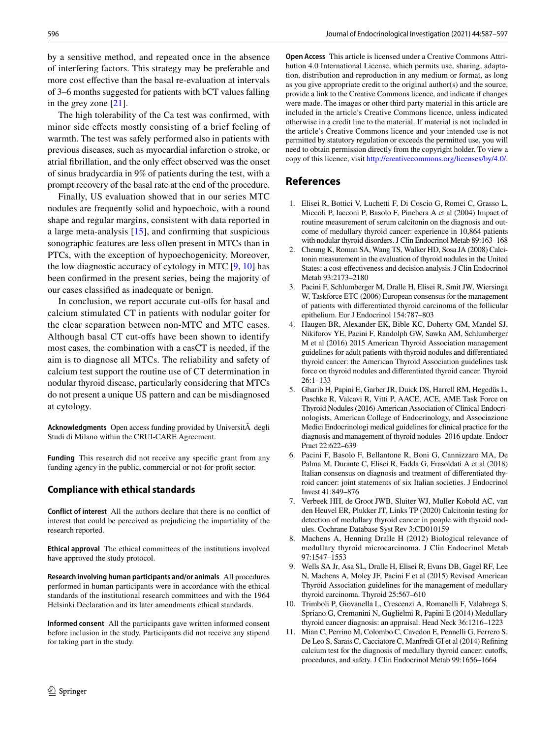by a sensitive method, and repeated once in the absence of interfering factors. This strategy may be preferable and more cost efective than the basal re-evaluation at intervals of 3–6 months suggested for patients with bCT values falling in the grey zone [\[21](#page-10-9)].

The high tolerability of the Ca test was confrmed, with minor side efects mostly consisting of a brief feeling of warmth. The test was safely performed also in patients with previous diseases, such as myocardial infarction o stroke, or atrial fbrillation, and the only efect observed was the onset of sinus bradycardia in 9% of patients during the test, with a prompt recovery of the basal rate at the end of the procedure.

Finally, US evaluation showed that in our series MTC nodules are frequently solid and hypoechoic, with a round shape and regular margins, consistent with data reported in a large meta-analysis [[15\]](#page-10-3), and confrming that suspicious sonographic features are less often present in MTCs than in PTCs, with the exception of hypoechogenicity. Moreover, the low diagnostic accuracy of cytology in MTC [\[9](#page-9-8), [10](#page-9-9)] has been confrmed in the present series, being the majority of our cases classifed as inadequate or benign.

In conclusion, we report accurate cut-ofs for basal and calcium stimulated CT in patients with nodular goiter for the clear separation between non-MTC and MTC cases. Although basal CT cut-ofs have been shown to identify most cases, the combination with a casCT is needed, if the aim is to diagnose all MTCs. The reliability and safety of calcium test support the routine use of CT determination in nodular thyroid disease, particularly considering that MTCs do not present a unique US pattern and can be misdiagnosed at cytology.

**Acknowledgments** Open access funding provided by Università degli Studi di Milano within the CRUI-CARE Agreement.

Funding This research did not receive any specific grant from any funding agency in the public, commercial or not-for-proft sector.

#### **Compliance with ethical standards**

**Conflict of interest** All the authors declare that there is no confict of interest that could be perceived as prejudicing the impartiality of the research reported.

**Ethical approval** The ethical committees of the institutions involved have approved the study protocol.

**Research involving human participants and/or animals** All procedures performed in human participants were in accordance with the ethical standards of the institutional research committees and with the 1964 Helsinki Declaration and its later amendments ethical standards.

**Informed consent** All the participants gave written informed consent before inclusion in the study. Participants did not receive any stipend for taking part in the study.

**Open Access** This article is licensed under a Creative Commons Attribution 4.0 International License, which permits use, sharing, adaptation, distribution and reproduction in any medium or format, as long as you give appropriate credit to the original author(s) and the source, provide a link to the Creative Commons licence, and indicate if changes were made. The images or other third party material in this article are included in the article's Creative Commons licence, unless indicated otherwise in a credit line to the material. If material is not included in the article's Creative Commons licence and your intended use is not permitted by statutory regulation or exceeds the permitted use, you will need to obtain permission directly from the copyright holder. To view a copy of this licence, visit<http://creativecommons.org/licenses/by/4.0/>.

## **References**

- <span id="page-9-0"></span>1. Elisei R, Bottici V, Luchetti F, Di Coscio G, Romei C, Grasso L, Miccoli P, Iacconi P, Basolo F, Pinchera A et al (2004) Impact of routine measurement of serum calcitonin on the diagnosis and outcome of medullary thyroid cancer: experience in 10,864 patients with nodular thyroid disorders. J Clin Endocrinol Metab 89:163–168
- <span id="page-9-1"></span>2. Cheung K, Roman SA, Wang TS, Walker HD, Sosa JA (2008) Calcitonin measurement in the evaluation of thyroid nodules in the United States: a cost-efectiveness and decision analysis. J Clin Endocrinol Metab 93:2173–2180
- <span id="page-9-2"></span>3. Pacini F, Schlumberger M, Dralle H, Elisei R, Smit JW, Wiersinga W, Taskforce ETC (2006) European consensus for the management of patients with diferentiated thyroid carcinoma of the follicular epithelium. Eur J Endocrinol 154:787–803
- <span id="page-9-3"></span>4. Haugen BR, Alexander EK, Bible KC, Doherty GM, Mandel SJ, Nikiforov YE, Pacini F, Randolph GW, Sawka AM, Schlumberger M et al (2016) 2015 American Thyroid Association management guidelines for adult patients with thyroid nodules and diferentiated thyroid cancer: the American Thyroid Association guidelines task force on thyroid nodules and diferentiated thyroid cancer. Thyroid 26:1–133
- <span id="page-9-4"></span>5. Gharib H, Papini E, Garber JR, Duick DS, Harrell RM, Hegedüs L, Paschke R, Valcavi R, Vitti P, AACE, ACE, AME Task Force on Thyroid Nodules (2016) American Association of Clinical Endocrinologists, American College of Endocrinology, and Associazione Medici Endocrinologi medical guidelines for clinical practice for the diagnosis and management of thyroid nodules–2016 update. Endocr Pract 22:622–639
- <span id="page-9-5"></span>6. Pacini F, Basolo F, Bellantone R, Boni G, Cannizzaro MA, De Palma M, Durante C, Elisei R, Fadda G, Frasoldati A et al (2018) Italian consensus on diagnosis and treatment of diferentiated thyroid cancer: joint statements of six Italian societies. J Endocrinol Invest 41:849–876
- <span id="page-9-6"></span>7. Verbeek HH, de Groot JWB, Sluiter WJ, Muller Kobold AC, van den Heuvel ER, Plukker JT, Links TP (2020) Calcitonin testing for detection of medullary thyroid cancer in people with thyroid nodules. Cochrane Database Syst Rev 3:CD010159
- <span id="page-9-7"></span>8. Machens A, Henning Dralle H (2012) Biological relevance of medullary thyroid microcarcinoma. J Clin Endocrinol Metab 97:1547–1553
- <span id="page-9-8"></span>9. Wells SA Jr, Asa SL, Dralle H, Elisei R, Evans DB, Gagel RF, Lee N, Machens A, Moley JF, Pacini F et al (2015) Revised American Thyroid Association guidelines for the management of medullary thyroid carcinoma. Thyroid 25:567–610
- <span id="page-9-9"></span>Trimboli P, Giovanella L, Crescenzi A, Romanelli F, Valabrega S, Spriano G, Cremonini N, Guglielmi R, Papini E (2014) Medullary thyroid cancer diagnosis: an appraisal. Head Neck 36:1216–1223
- <span id="page-9-10"></span>11. Mian C, Perrino M, Colombo C, Cavedon E, Pennelli G, Ferrero S, De Leo S, Sarais C, Cacciatore C, Manfredi GI et al (2014) Refning calcium test for the diagnosis of medullary thyroid cancer: cutofs, procedures, and safety. J Clin Endocrinol Metab 99:1656–1664